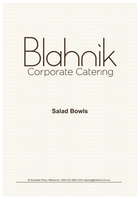# Blannik<br>Corporate Catering

# **Salad Bowls**

30 Equitable Place, Melbourne, 3000 (03) 9642 2234 catering@blahnik.com.au